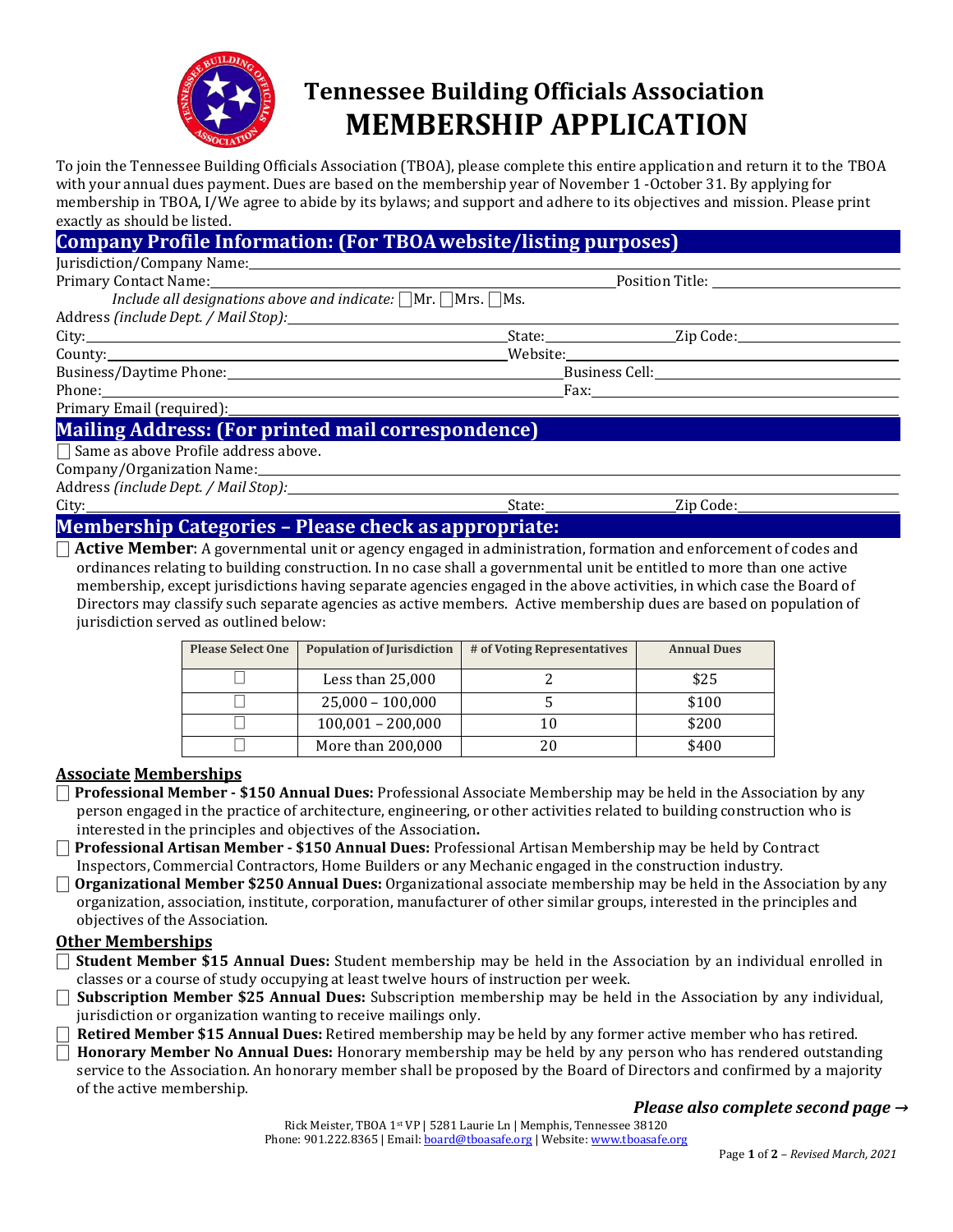

# **Tennessee Building Officials Association MEMBERSHIP APPLICATION**

To join the Tennessee Building Officials Association (TBOA), please complete this entire application and return it to the TBOA with your annual dues payment. Dues are based on the membership year of November 1 -October 31. By applying for membership in TBOA, I/We agree to abide by its bylaws; and support and adhere to its objectives and mission. Please print exactly as should be listed.

## **Company Profile Information: (For TBOAwebsite/listing purposes)**

| Include all designations above and indicate: $\Box$ Mr. $\Box$ Mrs. $\Box$ Ms. |  |                                                                                                                                                                                                                                |  |
|--------------------------------------------------------------------------------|--|--------------------------------------------------------------------------------------------------------------------------------------------------------------------------------------------------------------------------------|--|
|                                                                                |  |                                                                                                                                                                                                                                |  |
|                                                                                |  | State: Zip Code:                                                                                                                                                                                                               |  |
|                                                                                |  |                                                                                                                                                                                                                                |  |
|                                                                                |  |                                                                                                                                                                                                                                |  |
|                                                                                |  | Fax: The Company of the Company of the Company of the Company of the Company of the Company of the Company of the Company of the Company of the Company of the Company of the Company of the Company of the Company of the Com |  |
|                                                                                |  |                                                                                                                                                                                                                                |  |

## **Mailing Address: (For printed mail correspondence)**

 $\Box$  Same as above Profile address above.

Company/Organization Name:

Address *(include Dept. / Mail Stop):*

City: State: Zip Code:

## **Membership Categories – Please check as appropriate:**

⎕ **Active Member**: A governmental unit or agency engaged in administration, formation and enforcement of codes and ordinances relating to building construction. In no case shall a governmental unit be entitled to more than one active membership, except jurisdictions having separate agencies engaged in the above activities, in which case the Board of Directors may classify such separate agencies as active members. Active membership dues are based on population of jurisdiction served as outlined below:

| <b>Please Select One</b> | <b>Population of Jurisdiction</b> | # of Voting Representatives | <b>Annual Dues</b> |
|--------------------------|-----------------------------------|-----------------------------|--------------------|
|                          | Less than 25,000                  |                             | \$25               |
|                          | $25,000 - 100,000$                |                             | \$100              |
|                          | $100,001 - 200,000$               | 10                          | \$200              |
|                          | More than 200,000                 | 20                          | \$400              |

### **Associate Memberships**

- ⎕ **Professional Member - \$150 Annual Dues:** Professional Associate Membership may be held in the Association by any person engaged in the practice of architecture, engineering, or other activities related to building construction who is interested in the principles and objectives of the Association**.**
- ⎕ **Professional Artisan Member - \$150 Annual Dues:** Professional Artisan Membership may be held by Contract Inspectors, Commercial Contractors, Home Builders or any Mechanic engaged in the construction industry.
- ⎕ **Organizational Member \$250 Annual Dues:** Organizational associate membership may be held in the Association by any organization, association, institute, corporation, manufacturer of other similar groups, interested in the principles and objectives of the Association.

#### **Other Memberships**

- ⎕ **Student Member \$15 Annual Dues:** Student membership may be held in the Association by an individual enrolled in classes or a course of study occupying at least twelve hours of instruction per week.
- ⎕ **Subscription Member \$25 Annual Dues:** Subscription membership may be held in the Association by any individual, jurisdiction or organization wanting to receive mailings only.

⎕ **Retired Member \$15 Annual Dues:** Retired membership may be held by any former active member who has retired.

⎕ **Honorary Member No Annual Dues:** Honorary membership may be held by any person who has rendered outstanding service to the Association. An honorary member shall be proposed by the Board of Directors and confirmed by a majority of the active membership.

### *Please also complete second page →*